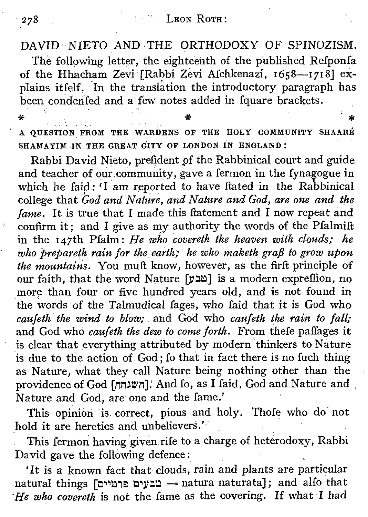## **LEON ROTH:**

## $DAVID-NIETO AND THE ORTHODOXY OF SPINOZISM.$

The following letter, the eighteenth of the published Refponfa of the Hhacham Zevi [Rabbi Zevi Afchkenazi, 1658-1718] explains itfelf. In the translation the introductory paragraph has been condenfed and a few notes added in fquare brackets.

\*<br>"A QUESTION FROM THE WARDENS OF THE HOLY COMMUNITY SHAARE SHAMAYIM IN THE GREAT GITY OF LONDON IN ENGLAND:

Rabbi David Nieto, prefident pf the Rabbinical court and guide and teacher of our community, gave a fermon in the Iynagogue in which he faid: 'I am reported to have ftated in the Rabbinical college that *God and Nature, and Nature and God, are one and the fame.* It is true that I made this ftatement and I now repeat and confirm it; and I give as my authority the words of the Pfalmift in the 147th Pfalni: *He who covereth the heaven with clouds; he*  $w$ *ho prepareth rain for the earth; he who maketh grafi to grow upon the mountains.* You muft know, however, as the firft principle of our faith, that the word Nature [מבע] is a modern expreffion, no more than four or five hundred years old, and is not found in the words of the Talmudical Iages, who faid that it is God who *caufeth. the wind to blozo;*.and God who *caufeth the rain to [all;* and God who *caufeth the dew to come forth.* From thefe paflages it is clear that everything attributed by modern'thinkers to Nature is due to the action of God; fo that in fact there is no fuch thing as Nature, what they call Nature being nothing other than the providence of God [השגחה]: And Io, as I faid, God and Nature and Nature and God, are one and the fame.'

This opinion is correct, pious and holy. Thofe who do not hold it are heretics and unbelievers.'

This fermon having given rife to a charge of heterodoxy, Rabbi David gave the following defence:

'It is a known fact that clouds, rain and plants are particular natural things [מבעים פרטיים = natura naturata]; and alfo that *He who* covereth is not the fame as the covering. If what I had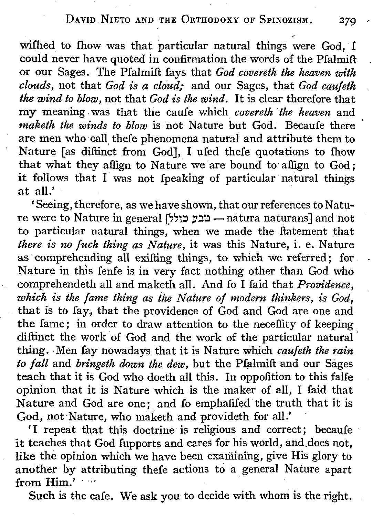## DAVID NIETO AND THE ORTHODOXY OF SPINOZISM. 279

wifhed to fhow was that particular natural things were God, I could never have quoted in confirmation the words of the Pfalmift or our Sages. The Pfalmift fays that *God coueretk the heaven with clouds,* not that *God is a cloud;* and our Sages, that *God cauleth the wind to blow,* not that *God is the wind.* It is clear therefore that my meaning was that the caufe which *covereth* the *heaven* and *maketh the winds to blow* is not Nature but God. Becaufe there are men who call thefe phenomena natural and attribute them to Nature [as diftinct from God], I ufed thefe quotations to fhow that what they affign to Nature we'are bound to affign to God; it follows that I was not fpeaking of particular natural things at all.'

'Seeing, therefore, as we have shown, that our references to Nature were to Nature in general  $[$ מבע כולל $=$  natura naturans] and not to particular natural things, when we made the ftatement that *there is no [uch. thing as Nature,* it was this Nature, i. e. Nature as comprehending all exifting things, to which we referred; for. Nature in this fenfe is in very fact nothing other than God who comprehendeth all and maketh all. And fo I faid that *Providence, which is the lame thing as the Nature of modern thinkers, is God,* . that is to fay, that the providence of God and God are one and the fame; in order to draw attention to the neceffity of keeping diftinct the work of God and the work of the particular natural' thing. Men fay nowadays that it is Nature which *caufetk the rain to fall* and *bringeth down the dew,but* the Pfalmift and our Sages teach that it is God who doeth all this. In oppofition to this falfe opinion that it is Nature which is the maker of all; I faid that Nature and God are one; and fo emphafifed the truth that it is God, not Nature, who maketh and provideth for all.'

'I repeat that this doctrine is religious and correct; becaufe it teaches that God fupports and cares for his world, and does not. like the opinion which we have been examining, give His glory to another by attributing thefe actions to a general Nature apart from Him.' ...

Such is the cafe. We ask you to decide with whom is the right.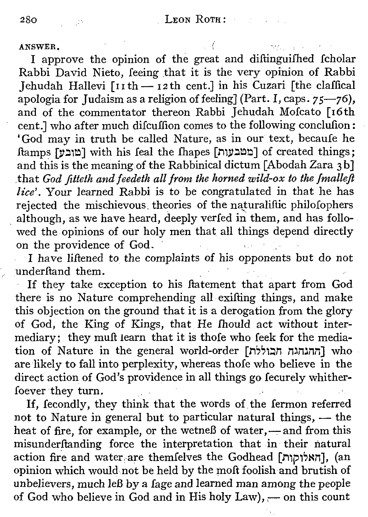ANSWER.

I approve the opinion of the great and diftinguifhed fcholar Rabbi David Nieto, feeing that it is the very opinion of Rabbi Jehudah Hallevi  $\lceil \ln \ln \frac{1}{2} \ln \cosh \left( \frac{1}{2} \ln \ln \cosh \left( \frac{1}{2} \ln \cosh \left( \frac{1}{2} \ln \cosh \left( \frac{1}{2} \ln \cosh \left( \frac{1}{2} \ln \cosh \left( \frac{1}{2} \ln \cosh \left( \frac{1}{2} \ln \cosh \left( \frac{1}{2} \ln \cosh \left( \frac{1}{2} \ln \cosh \left( \frac{1}{2} \ln \cosh \left( \frac{1}{2} \ln \cosh \left( \frac{1}{2} \ln \cosh \left($ apologia for Judaism as a religion of feeling] (Part. I, caps.  $75-76$ ), and of the commentator thereon Rabbi Jehudah Mofcato [16th cent.] who after much difcuffion comes to the following conclufion: 'God may in truth be called Nature, as in our text, becaufe he Itamps *[V~,~]* with his feal the Ihapes [JiW~~~] of created things; and this is the meaning of the Rabbinical dictum [Abodah Zara 3b] .that *God fitteth and feedeth all from the horned wild-ox to the fmallefl lice'*. Your learned Rabbi is to be congratulated in that he has rejected the mischievous, theories of the naturaliftic philofophers rejected the mischievous theories of the naturalitic philolophers<br>although, as we have heard, deeply verfed in them, and has followed the opinions of our holy men that all things depend directly on the providence of God.

I have liftened to the complaints of his opponents but do not underftand them.

If they take exception to his Itatement that apart from God there is no Nature comprehending allexifting things, and make this objection on the ground that it is a derogation from the glory of God, the King of Kings, that He fhould act without intermediary; they muft learn that it is thofe who feek for the mediation of Nature in the general world-order *[n~,,~n mmnn]* who are likely to fall into perplexity, whereas thofe who believe in the direct action of God's providence in all things go fecurely whitherfoever they turn.

If, fecondly, they think that the words of the fermon referred not to Nature in general but to particular natural things, - the heat of fire, for example, or the wetneß of water,-and from this misunderftanding force the interpretation that in their natural action fire and water are themfelves the Godhead [האלוקות], (an opinion which would not be held by the moft foolish and brutish of unbelievers, much leß by a fage and learned man among the people of God who believe in God and in His holy  $Law$ ,  $-$  on this count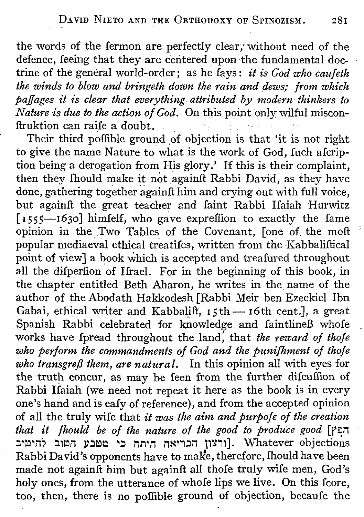the words of the fermon are perfectly clear; without need of the defence, feeing that they are centered upon the fundamental doctrine of the general world-order; as he fays: *it is God who caufeth the winds to blow and bringeth down the rain and dezos: from which paffages it is clear that everything attributed by modern thinkers to Nature is due to the action of God.* On this point only wilful misconftruktion can raife a doubt.

Their third poffible ground of objection is that 'it is not right to give the name Nature to what is the work of God, fuch afcription being a derogation from His glory.' If this is their complaint, then they fhould make it not againft Rabbi David, as they have done, gathering together againft him and crying out with full voice, but againft the great teacher and faint Rabbi Ifaiah Hurwitz  $\lceil 1555 - 1630 \rceil$  himfelf, who gave expreffion to exactly the fame opinion in the Two Tables of the Covenant, [one-of, the molt popular mediaeval ethical treatifes, written from the Kabbaliftical point of view] a book which is accepted and treafured throughout all the difperfion of Ifrael. For in the beginning of this book, in the chapter entitled Beth Aharon, he writes in the name of the author of the Abodath Hakkodesh [Rabbi Meir ben Ezeckiel Ibn Gabai, ethical writer and Kabbalift,  $15th - 16th$  cent.], a great Spanish Rabbi celebrated for knowledge and faintlineB whofe works have fpread throughout the .land, that *the reward of thofe who perform the commandments of God and the punifhment of thofe who transgrefJ them, are natural.* In this opinion all with eyes for the truth concur, as may be feen from the further difcuffion of Rabbi Ifaiah (we need not repeat it here as the book is in every one's hand and is eafy of reference), and from the accepted opinion of all the truly wife that *it was the aim and purpofe of the creation that it fhould be of the nature of the good to produce good* [r~n :~~~n, :1~n *V:~~ ~~* n.l"1~nnK~.,:n11~"1].Whatever objections Rabbi David's opponents have to make, therefore, fhould have been made not againft him but againft all thofe truly wife men, God's holy ones, from the utterance of whofe lips we live. On this fcore, too, then, there is no poffible ground of objection, becaufe the